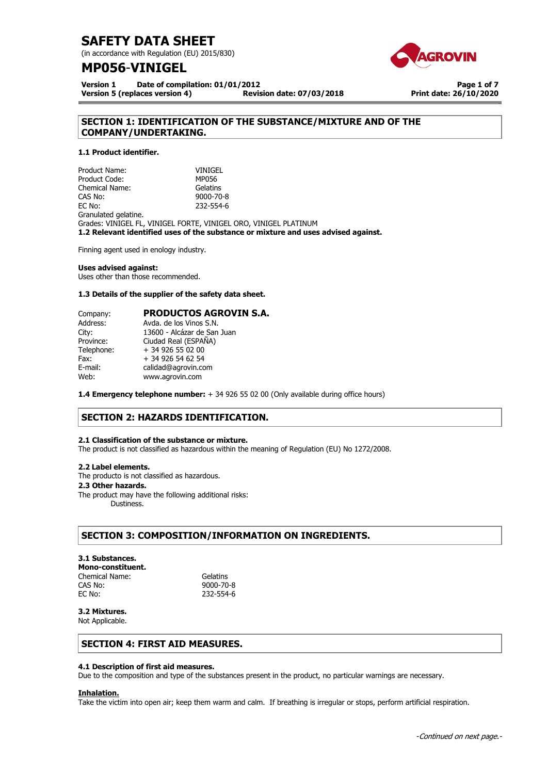(in accordance with Regulation (EU) 2015/830)

## **MP056**-**VINIGEL**



**Page 1 of 7 Print date: 26/10/2020**

**Version 1 Date of compilation: 01/01/2012 Version 5 (replaces version 4)** 

## **SECTION 1: IDENTIFICATION OF THE SUBSTANCE/MIXTURE AND OF THE COMPANY/UNDERTAKING.**

## **1.1 Product identifier.**

Product Name: VINIGEL Product Code: MP056 Chemical Name: Gelatins CAS No: 9000-70-8 EC No: 232-554-6 Granulated gelatine. Grades: VINIGEL FL, VINIGEL FORTE, VINIGEL ORO, VINIGEL PLATINUM **1.2 Relevant identified uses of the substance or mixture and uses advised against.** 

Finning agent used in enology industry.

### **Uses advised against:**

Uses other than those recommended.

### **1.3 Details of the supplier of the safety data sheet.**

| <b>PRODUCTOS AGROVIN S.A.</b> |
|-------------------------------|
| Avda, de los Vinos S.N.       |
| 13600 - Alcázar de San Juan   |
| Ciudad Real (ESPAÑA)          |
| + 34 926 55 02 00             |
| + 34 926 54 62 54             |
| calidad@agrovin.com           |
| www.agrovin.com               |
|                               |

**1.4 Emergency telephone number:** + 34 926 55 02 00 (Only available during office hours)

## **SECTION 2: HAZARDS IDENTIFICATION.**

### **2.1 Classification of the substance or mixture.**

The product is not classified as hazardous within the meaning of Regulation (EU) No 1272/2008.

### **2.2 Label elements.**

The producto is not classified as hazardous..

## . **2.3 Other hazards.**

The product may have the following additional risks: Dustiness.

## **SECTION 3: COMPOSITION/INFORMATION ON INGREDIENTS.**

## **3.1 Substances.**

## **Mono-constituent.**

Chemical Name: Gelatins CAS No: 9000-70-8<br>EC No: 232-554-6

EC No: 232-554-6

#### **3.2 Mixtures.**  Not Applicable.

## **SECTION 4: FIRST AID MEASURES.**

### **4.1 Description of first aid measures.**

Due to the composition and type of the substances present in the product, no particular warnings are necessary.

### **Inhalation.**

Take the victim into open air; keep them warm and calm. If breathing is irregular or stops, perform artificial respiration.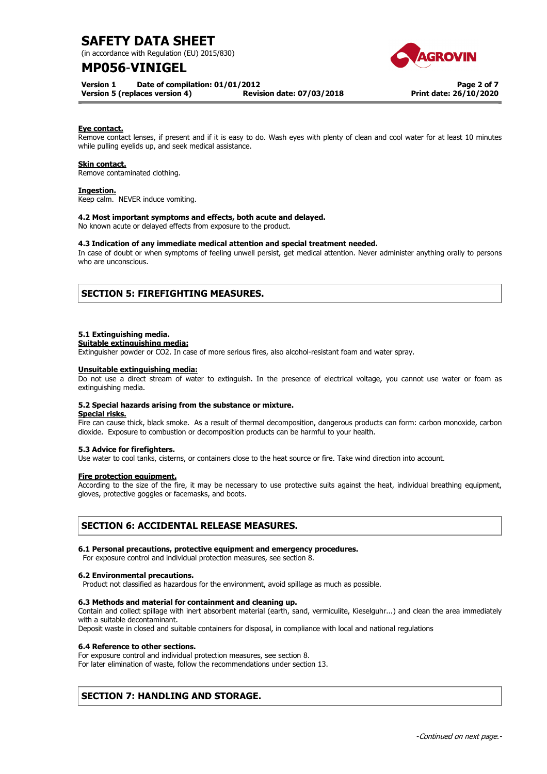(in accordance with Regulation (EU) 2015/830)

## **MP056**-**VINIGEL**

**Version 1 Date of compilation: 01/01/2012** 

**Version 5 (replaces version 4) Revision date: 07/03/2018**



**Page 2 of 7 Print date: 26/10/2020**

### **Eye contact.**

Remove contact lenses, if present and if it is easy to do. Wash eyes with plenty of clean and cool water for at least 10 minutes while pulling eyelids up, and seek medical assistance.

### **Skin contact.**

Remove contaminated clothing.

## **Ingestion.**

Keep calm. NEVER induce vomiting.

### **4.2 Most important symptoms and effects, both acute and delayed.**

No known acute or delayed effects from exposure to the product.

#### **4.3 Indication of any immediate medical attention and special treatment needed.**

In case of doubt or when symptoms of feeling unwell persist, get medical attention. Never administer anything orally to persons who are unconscious.

## **SECTION 5: FIREFIGHTING MEASURES.**

#### **5.1 Extinguishing media.**

#### **Suitable extinguishing media:**

Extinguisher powder or CO2. In case of more serious fires, also alcohol-resistant foam and water spray.

#### **Unsuitable extinguishing media:**

Do not use a direct stream of water to extinguish. In the presence of electrical voltage, you cannot use water or foam as extinguishing media.

### **5.2 Special hazards arising from the substance or mixture.**

**Special risks.** 

Fire can cause thick, black smoke. As a result of thermal decomposition, dangerous products can form: carbon monoxide, carbon dioxide. Exposure to combustion or decomposition products can be harmful to your health.

## **5.3 Advice for firefighters.**

Use water to cool tanks, cisterns, or containers close to the heat source or fire. Take wind direction into account.

## **Fire protection equipment.**

According to the size of the fire, it may be necessary to use protective suits against the heat, individual breathing equipment, gloves, protective goggles or facemasks, and boots.

## **SECTION 6: ACCIDENTAL RELEASE MEASURES.**

### **6.1 Personal precautions, protective equipment and emergency procedures.**

For exposure control and individual protection measures, see section 8.

### **6.2 Environmental precautions.**

Product not classified as hazardous for the environment, avoid spillage as much as possible.

### **6.3 Methods and material for containment and cleaning up.**

Contain and collect spillage with inert absorbent material (earth, sand, vermiculite, Kieselguhr...) and clean the area immediately with a suitable decontaminant.

Deposit waste in closed and suitable containers for disposal, in compliance with local and national regulations

### **6.4 Reference to other sections.**

For exposure control and individual protection measures, see section 8.

For later elimination of waste, follow the recommendations under section 13.

## **SECTION 7: HANDLING AND STORAGE.**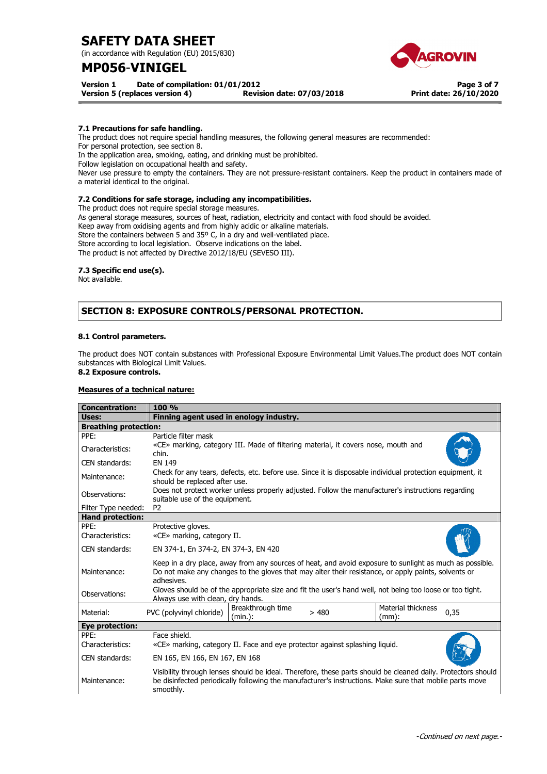(in accordance with Regulation (EU) 2015/830)

## **MP056**-**VINIGEL**

**Version 5 (replaces version 4)** 





**Page 3 of 7 Print date: 26/10/2020**

**7.1 Precautions for safe handling.** 

The product does not require special handling measures, the following general measures are recommended:

For personal protection, see section 8.

In the application area, smoking, eating, and drinking must be prohibited.

Follow legislation on occupational health and safety.

Never use pressure to empty the containers. They are not pressure-resistant containers. Keep the product in containers made of a material identical to the original.

## **7.2 Conditions for safe storage, including any incompatibilities.**

The product does not require special storage measures.

As general storage measures, sources of heat, radiation, electricity and contact with food should be avoided.

Keep away from oxidising agents and from highly acidic or alkaline materials.

Store the containers between 5 and 35º C, in a dry and well-ventilated place.

Store according to local legislation. Observe indications on the label.

The product is not affected by Directive 2012/18/EU (SEVESO III).

## **7.3 Specific end use(s).**

Not available.

## **SECTION 8: EXPOSURE CONTROLS/PERSONAL PROTECTION.**

## **8.1 Control parameters.**

The product does NOT contain substances with Professional Exposure Environmental Limit Values.The product does NOT contain substances with Biological Limit Values. **8.2 Exposure controls.** 

# **Measures of a technical nature:**

| <b>Concentration:</b>        | 100 %                                                                                                                                                                                                                                |  |
|------------------------------|--------------------------------------------------------------------------------------------------------------------------------------------------------------------------------------------------------------------------------------|--|
| Uses:                        | Finning agent used in enology industry.                                                                                                                                                                                              |  |
| <b>Breathing protection:</b> |                                                                                                                                                                                                                                      |  |
| PPE:                         | Particle filter mask                                                                                                                                                                                                                 |  |
| Characteristics:             | «CE» marking, category III. Made of filtering material, it covers nose, mouth and<br>chin.                                                                                                                                           |  |
| CEN standards:               | EN 149                                                                                                                                                                                                                               |  |
| Maintenance:                 | Check for any tears, defects, etc. before use. Since it is disposable individual protection equipment, it<br>should be replaced after use.                                                                                           |  |
| Observations:                | Does not protect worker unless properly adjusted. Follow the manufacturer's instructions regarding<br>suitable use of the equipment.                                                                                                 |  |
| Filter Type needed:          | P <sub>2</sub>                                                                                                                                                                                                                       |  |
| <b>Hand protection:</b>      |                                                                                                                                                                                                                                      |  |
| PPE:                         | Protective gloves.                                                                                                                                                                                                                   |  |
| Characteristics:             | «CE» marking, category II.                                                                                                                                                                                                           |  |
| CEN standards:               | EN 374-1, En 374-2, EN 374-3, EN 420                                                                                                                                                                                                 |  |
| Maintenance:                 | Keep in a dry place, away from any sources of heat, and avoid exposure to sunlight as much as possible.<br>Do not make any changes to the gloves that may alter their resistance, or apply paints, solvents or<br>adhesives.         |  |
| Observations:                | Gloves should be of the appropriate size and fit the user's hand well, not being too loose or too tight.<br>Always use with clean, dry hands.                                                                                        |  |
| Material:                    | Breakthrough time<br>Material thickness<br>0,35<br>PVC (polyvinyl chloride)<br>>480<br>$(min.)$ :<br>$(mm)$ :                                                                                                                        |  |
| <b>Eye protection:</b>       |                                                                                                                                                                                                                                      |  |
| PPE:                         | Face shield.                                                                                                                                                                                                                         |  |
| Characteristics:             | «CE» marking, category II. Face and eye protector against splashing liquid.                                                                                                                                                          |  |
| CEN standards:               | EN 165, EN 166, EN 167, EN 168                                                                                                                                                                                                       |  |
| Maintenance:                 | Visibility through lenses should be ideal. Therefore, these parts should be cleaned daily. Protectors should<br>be disinfected periodically following the manufacturer's instructions. Make sure that mobile parts move<br>smoothly. |  |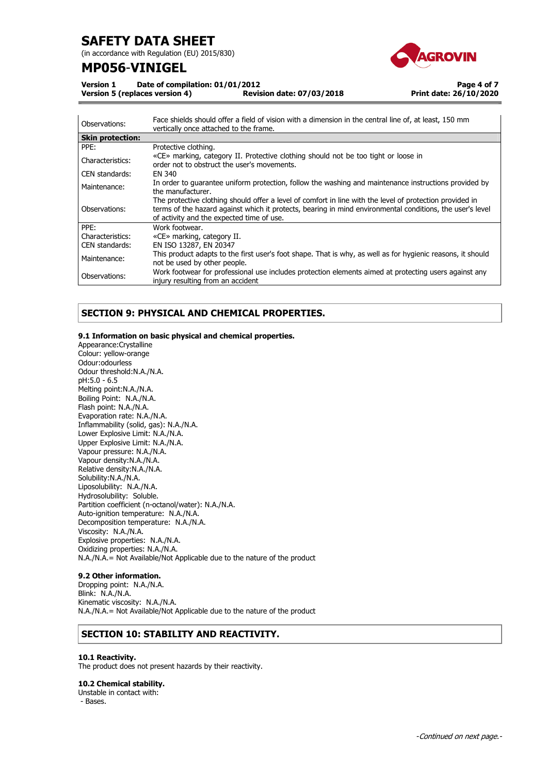(in accordance with Regulation (EU) 2015/830)

## **MP056**-**VINIGEL**



**Version 1 Date of compilation: 01/01/2012 Version 5 (replaces version 4)** 

**Page 4 of 7 Print date: 26/10/2020**

| Observations:           | Face shields should offer a field of vision with a dimension in the central line of, at least, 150 mm<br>vertically once attached to the frame.                                                                                                                    |
|-------------------------|--------------------------------------------------------------------------------------------------------------------------------------------------------------------------------------------------------------------------------------------------------------------|
| <b>Skin protection:</b> |                                                                                                                                                                                                                                                                    |
| PPE:                    | Protective clothing.                                                                                                                                                                                                                                               |
| Characteristics:        | «CE» marking, category II. Protective clothing should not be too tight or loose in<br>order not to obstruct the user's movements.                                                                                                                                  |
| CEN standards:          | EN 340                                                                                                                                                                                                                                                             |
| Maintenance:            | In order to quarantee uniform protection, follow the washing and maintenance instructions provided by<br>the manufacturer.                                                                                                                                         |
| Observations:           | The protective clothing should offer a level of comfort in line with the level of protection provided in<br>terms of the hazard against which it protects, bearing in mind environmental conditions, the user's level<br>of activity and the expected time of use. |
| PPE:                    | Work footwear.                                                                                                                                                                                                                                                     |
| Characteristics:        | «CE» marking, category II.                                                                                                                                                                                                                                         |
| CEN standards:          | EN ISO 13287, EN 20347                                                                                                                                                                                                                                             |
| Maintenance:            | This product adapts to the first user's foot shape. That is why, as well as for hygienic reasons, it should<br>not be used by other people.                                                                                                                        |
| Observations:           | Work footwear for professional use includes protection elements aimed at protecting users against any<br>injury resulting from an accident                                                                                                                         |

## **SECTION 9: PHYSICAL AND CHEMICAL PROPERTIES.**

## **9.1 Information on basic physical and chemical properties.**

Appearance:Crystalline Colour: yellow-orange Odour:odourless Odour threshold:N.A./N.A. pH:5.0 - 6.5 Melting point:N.A./N.A. Boiling Point: N.A./N.A. Flash point: N.A./N.A. Evaporation rate: N.A./N.A. Inflammability (solid, gas): N.A./N.A. Lower Explosive Limit: N.A./N.A. Upper Explosive Limit: N.A./N.A. Vapour pressure: N.A./N.A. Vapour density:N.A./N.A. Relative density:N.A./N.A. Solubility:N.A./N.A. Liposolubility: N.A./N.A. Hydrosolubility: Soluble. Partition coefficient (n-octanol/water): N.A./N.A. Auto-ignition temperature: N.A./N.A. Decomposition temperature: N.A./N.A. Viscosity: N.A./N.A. Explosive properties: N.A./N.A. Oxidizing properties: N.A./N.A. N.A./N.A.= Not Available/Not Applicable due to the nature of the product

## **9.2 Other information.**

Dropping point: N.A./N.A. Blink: N.A./N.A. Kinematic viscosity: N.A./N.A. N.A./N.A.= Not Available/Not Applicable due to the nature of the product

## **SECTION 10: STABILITY AND REACTIVITY.**

### **10.1 Reactivity.**

The product does not present hazards by their reactivity.

### **10.2 Chemical stability.**

Unstable in contact with: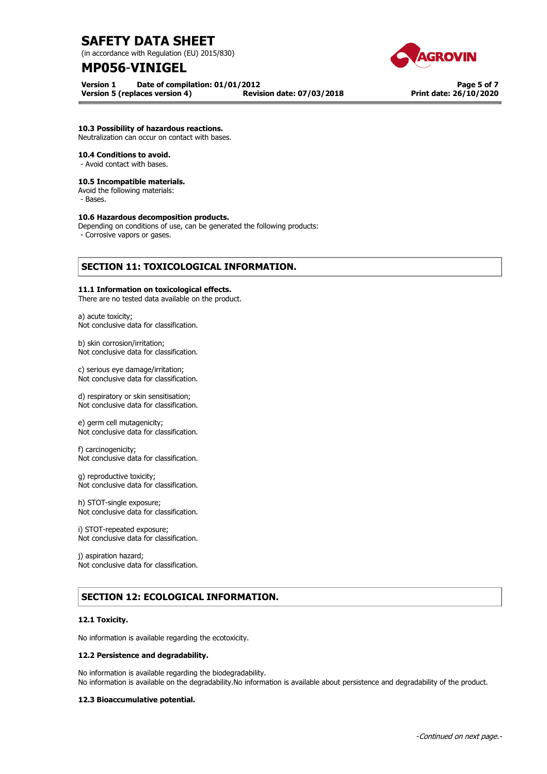(in accordance with Regulation (EU) 2015/830)

## **MP056**-**VINIGEL**

**Version 1 Date of compilation: 01/01/2012** 





**Page 5 of 7 Print date: 26/10/2020**

## **10.3 Possibility of hazardous reactions.**

Neutralization can occur on contact with bases.

## **10.4 Conditions to avoid.**

- Avoid contact with bases.

### **10.5 Incompatible materials.**

Avoid the following materials:

- Bases.

## **10.6 Hazardous decomposition products.**

Depending on conditions of use, can be generated the following products:

- Corrosive vapors or gases.

## **SECTION 11: TOXICOLOGICAL INFORMATION.**

## **11.1 Information on toxicological effects.**

There are no tested data available on the product.

a) acute toxicity; Not conclusive data for classification.

b) skin corrosion/irritation; Not conclusive data for classification.

c) serious eye damage/irritation; Not conclusive data for classification.

d) respiratory or skin sensitisation; Not conclusive data for classification.

e) germ cell mutagenicity; Not conclusive data for classification.

f) carcinogenicity; Not conclusive data for classification.

g) reproductive toxicity; Not conclusive data for classification.

h) STOT-single exposure; Not conclusive data for classification.

i) STOT-repeated exposure; Not conclusive data for classification.

j) aspiration hazard; Not conclusive data for classification.

## **SECTION 12: ECOLOGICAL INFORMATION.**

## **12.1 Toxicity.**

No information is available regarding the ecotoxicity.

### **12.2 Persistence and degradability.**

No information is available regarding the biodegradability. No information is available on the degradability.No information is available about persistence and degradability of the product.

## **12.3 Bioaccumulative potential.**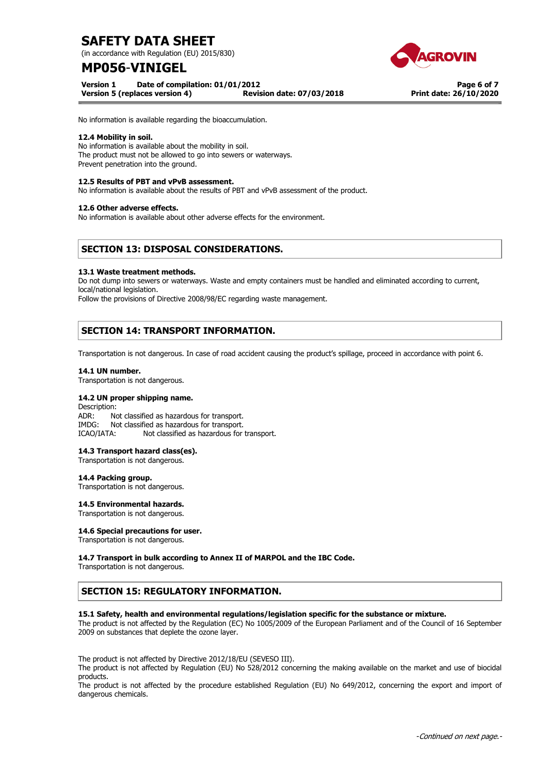(in accordance with Regulation (EU) 2015/830)

## **MP056**-**VINIGEL**

**Version 1 Date of compilation: 01/01/2012** 





**Page 6 of 7 Print date: 26/10/2020**

No information is available regarding the bioaccumulation.

## **12.4 Mobility in soil.**

No information is available about the mobility in soil. The product must not be allowed to go into sewers or waterways. Prevent penetration into the ground.

## **12.5 Results of PBT and vPvB assessment.**

No information is available about the results of PBT and vPvB assessment of the product.

### **12.6 Other adverse effects.**

No information is available about other adverse effects for the environment.

## **SECTION 13: DISPOSAL CONSIDERATIONS.**

### **13.1 Waste treatment methods.**

Do not dump into sewers or waterways. Waste and empty containers must be handled and eliminated according to current, local/national legislation.

Follow the provisions of Directive 2008/98/EC regarding waste management.

## **SECTION 14: TRANSPORT INFORMATION.**

Transportation is not dangerous. In case of road accident causing the product's spillage, proceed in accordance with point 6.

### **14.1 UN number.**

Transportation is not dangerous.

## **14.2 UN proper shipping name.**

Description:<br>ADR: No Not classified as hazardous for transport. IMDG: Not classified as hazardous for transport. ICAO/IATA: Not classified as hazardous for transport.

### **14.3 Transport hazard class(es).**

Transportation is not dangerous.

**14.4 Packing group.** 

Transportation is not dangerous.

### **14.5 Environmental hazards.**

Transportation is not dangerous.

## **14.6 Special precautions for user.**

Transportation is not dangerous.

## **14.7 Transport in bulk according to Annex II of MARPOL and the IBC Code.**

Transportation is not dangerous.

## **SECTION 15: REGULATORY INFORMATION.**

### **15.1 Safety, health and environmental regulations/legislation specific for the substance or mixture.**

The product is not affected by the Regulation (EC) No 1005/2009 of the European Parliament and of the Council of 16 September 2009 on substances that deplete the ozone layer.

The product is not affected by Directive 2012/18/EU (SEVESO III).

The product is not affected by Regulation (EU) No 528/2012 concerning the making available on the market and use of biocidal products.

The product is not affected by the procedure established Regulation (EU) No 649/2012, concerning the export and import of dangerous chemicals.